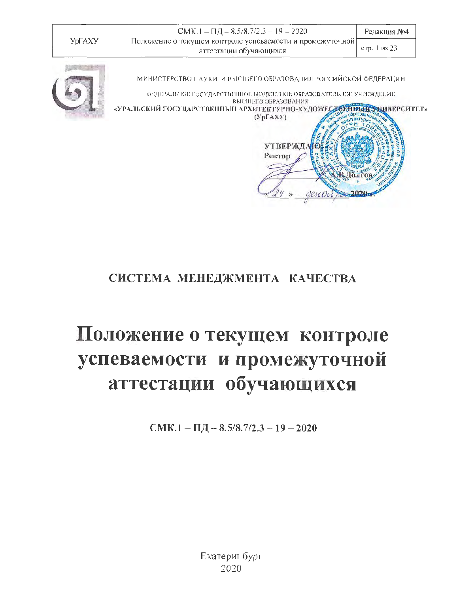

Долгов

# СИСТЕМА МЕНЕДЖМЕНТА КАЧЕСТВА

# Положение о текущем контроле успеваемости и промежуточной аттестации обучающихся

CMK.1 -  $\Pi$ *J* - 8.5/8.7/2.3 - 19 - 2020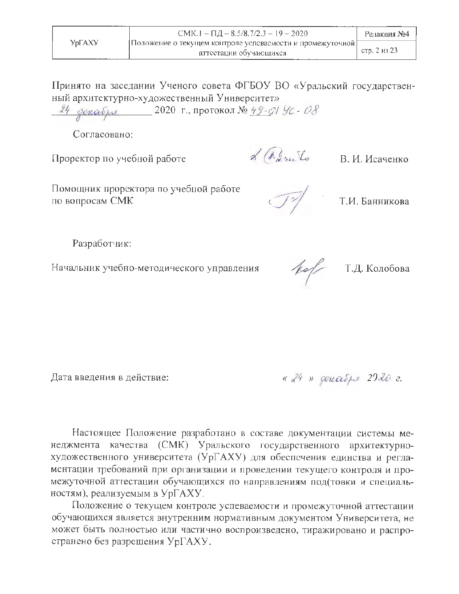Принято на заседании Ученого совета ФГБОУ ВО «Уральский государственный архитектурно-художественный Университет»

24 декабря 2020 г., протокол № 49-01 УС-08

Согласовано:

Проректор по учебной работе

 $\mathcal{A}$  ( $\hat{\ell}_{\alpha}$  rec. Lo B. H. Исаченко

Помощник проректора по учебной работе по вопросам СМК

Т.И. Банникова

Разработчик:

Начальник учебно-методического управления

 $10/$ 

Т.Д. Колобова

Дата введения в действие:

« 24 » декабря 2020 г.

Настоящее Положение разработано в составе документации системы менеджмента качества (СМК) Уральского государственного архитектурнохудожественного университета (УрГАХУ) для обеспечения единства и регламентации требований при организации и проведении текущего контроля и промежуточной аттестации обучающихся по направлениям под(товки и специальностям), реализуемым в УрГАХУ.

Положение о текущем контроле успеваемости и промежуточной аттестации обучающихся является внутренним нормативным документом Университета, не может быть полностью или частично воспроизведено, тиражировано и распространено без разрешения УрГАХУ.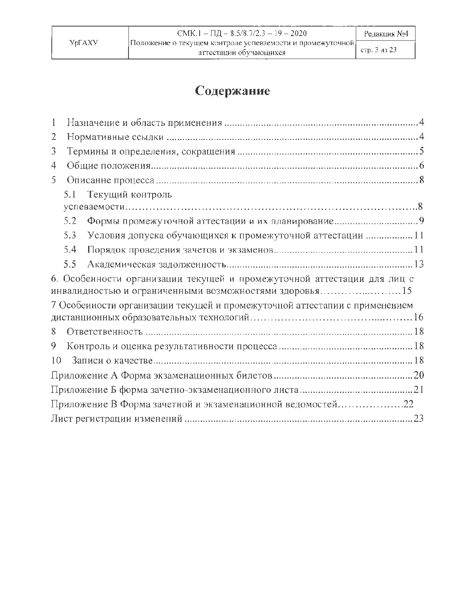# Содержание

| 1                                                                                                                                 |
|-----------------------------------------------------------------------------------------------------------------------------------|
| 2                                                                                                                                 |
| 3                                                                                                                                 |
| 4                                                                                                                                 |
| 5.                                                                                                                                |
| 5.1<br>Текущий контроль                                                                                                           |
|                                                                                                                                   |
| 5.2                                                                                                                               |
| Условия допуска обучающихся к промежуточной аттестации  11<br>5.3                                                                 |
| 5.4                                                                                                                               |
| 5.5                                                                                                                               |
| 6. Особенности организации текущей и промежуточной аттестации для лиц с<br>инвалидностью и ограниченными возможностями здоровья15 |
| 7 Особеиности организации текущей и промежуточной аттестапии с применением                                                        |
|                                                                                                                                   |
| 8                                                                                                                                 |
| 9                                                                                                                                 |
| 10                                                                                                                                |
|                                                                                                                                   |
|                                                                                                                                   |
| Приложение В Форма зачетной и экзаменационной ведомостей22                                                                        |
|                                                                                                                                   |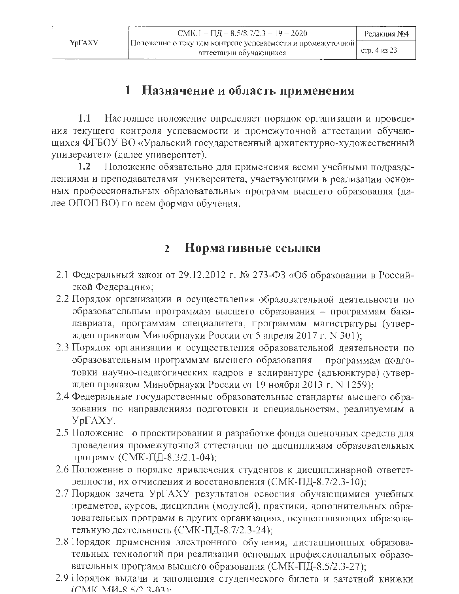# 1 Назначение и область применения

 $1.1$ Настоящее положение определяет порядок организации и проведения текущего контроля успеваемости и промежуточной аттестации обучающихся ФГБОУ ВО «Уральский государственный архитектурно-художественный университет» (далее университет).

 $1.2^{\circ}$ Положение обязательно для применения всеми учебными подразделениями и преподавателями университета, участвующими в реализации основных профессиональных образовательных программ высшего образования (далее ОПОП ВО) по всем формам обучения.

#### Нормативные ссылки  $\overline{2}$

- 2.1 Федеральный закон от 29.12.2012 г. № 273-ФЗ «Об образовании в Российской Федерации»;
- 2.2 Порядок организации и осуществления образовательной деятельности по образовательным программам высшего образования - программам бакалавриата, программам специалитета, программам магистратуры (утвержден приказом Минобрнауки России от 5 апреля 2017 г. N 301);
- 2.3 Порядок организации и осуществления образовательной деятельности по образовательным программам высшего образования - программам подготовки научно-педагогических кадров в аспирантуре (адъюнктуре) (утвержден приказом Минобрнауки России от 19 ноября 2013 г. N 1259);
- 2.4 Федеральные государственные образовательные стандарты высшего образования по направлениям подготовки и специальностям, реализуемым в  $Yp\Gamma AXY.$
- 2.5 Положение о проектировании и разработке фонда оценочных средств для проведения промежуточной аттестации по дисциплинам образовательных программ (СМК-ПД-8.3/2.1-04);
- 2.6 Положение о порядке привлечения студентов к дисциплинарной ответственности, их отчисления и восстановления (СМК-ПД-8.7/2.3-10);
- 2.7 Порядок зачета УрГАХУ результатов освоения обучающимися учебных предметов, курсов, дисциплин (модулей), практики, дополнительных образовательных программ в других организациях, осуществляющих образовательную деятельность (СМК-ПД-8.7/2.3-24);
- 2.8 Порядок применения электронного обучения, дистанционных образовательных технологий при реализации основных профессиональных образовательных программ высшего образования (СМК-ПД-8.5/2.3-27);
- 2.9 Порядок выдачи и заполнения студенческого билета и зачетной книжки (CMK-MH-8.5/2.2-03).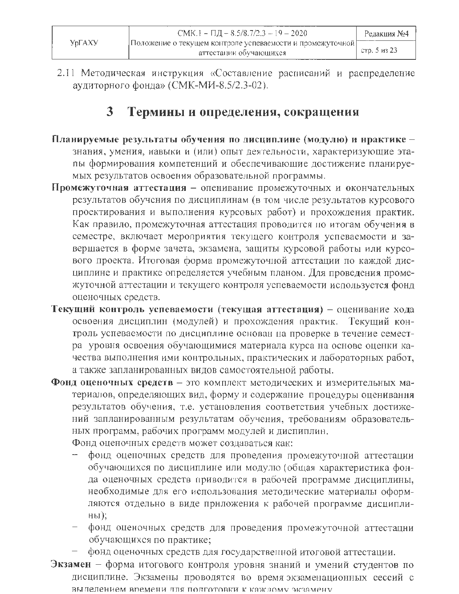2.11 Методическая инструкция «Составление расписаний и распределение аудиторного фонда» (СМК-МИ-8.5/2.3-02).

#### $\mathbf{3}$ Термины и определения, сокращения

- Планируемые результаты обучения по дисциплине (модулю) и нрактике знания, умения, навыки и (или) опыт деятельности, характеризующие этапы формирования компетенций и обеспечивающие достижение планируемых результатов освоения образовательной программы.
- Промежуточная аттестация опенивание промежуточных и окончательных результатов обучения по дисциплинам (в том числе результатов курсового проектирования и выполнения курсовых работ) и прохождения практик. Как правило, промежуточная аттестация проводится по итогам обучения в семестре, включает мероприятия текущего контроля успеваемости и завершается в форме зачета, экзамена, защиты курсовой работы или курсового проекта. Итоговая форма промежуточной аттестации по каждой дисциплине и практике определяется учебным планом. Для проведения промежуточной аттестации и текущего контроля успеваемости используется фонд оценочных средств.
- Текущий контроль успеваемости (текущая аттестация) оценивание хода освоения дисциплин (модулей) и прохождения практик. Текущий контроль успеваемости по дисциплине основан на проверке в течение семестра уровня освоения обучающимися материала курса на основе оценки качества выполнения ими контрольных, практических и лабораторных работ, а также запланированных видов самостоятельной работы.
- Фонд оценочных средств это комплект методических и измерительных материалов, определяющих вид, форму и содержание процедуры оценивання результатов обучения, т.е. установления соответствия учебных достижений запланированным результатам обучения, требованиям образовательных программ, рабочих программ модулей и диспиплин. Фонд оценочных средств может создаваться как:
	- фонд оценочных средств для проведения промежуточной аттестации обучающихся по дисциплине или модулю (общая характеристика фонда оценочных средств приводится в рабочей программе дисциплины, необходимые для его использования методические материалы оформляются отдельно в виде приложения к рабочей программе дисциплины);
	- фонд оценочных средств для проведения промежуточной аттестацни обучающихся по практике;
	- фонд оценочных средств для государственной итоговой аттестации.
- Экзамен форма итогового контроля уровня знаний и умений студентов по дисциплине. Экзамены проводятся во время экзаменационных сессий с вылелением времени лля полготовки к каждому экзямену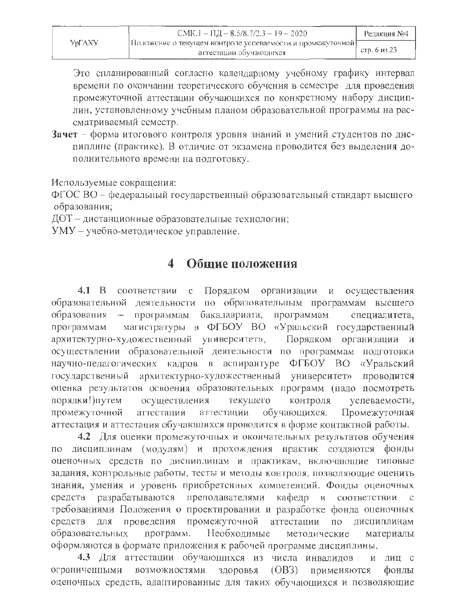Это спланированный согласно календарному учебному графику интервал времени по окончании теоретического обучения в семестре для проведения промежуточной аттестации обучающихся по конкретному набору дисциплин, установленному учебным планом образовательной программы на рассматриваемый семестр.

Зачет - форма итогового контроля уровня знаний и умений студентов по диспиплине (практике). В отличие от экзамена проводится без выделения дополнительного времени на подготовку.

Используемые сокращения:

ФГОС ВО - федеральный государственный образовательный стандарт высшего образования;

ДОТ - дистанционные образовательные технологии;

УМУ - учебно-методическое управление.

#### Общие положения  $\blacktriangleleft$

 $4.1\quad B$ соответствии  $\mathbf C$ Порядком организации И осуществления деятельности по образовательным программам высшего образовательной бакалавриата, программам образования  $\overline{\phantom{a}}$ программам специалитета, магистратуры в ФГБОУ ВО «Уральский государственный программам архитектурно-художественный университет», Порядком организации  $\mathbf{H}$ осуществлении образовательной деятельности по программам подготовки научно-педагогических кадров в аспирантуре **ФГБОУ** BO «Уральский архитектурно-художественный государственный университет» проводится оценка результатов освоения образовательных программ (надо посмотреть порядки!) путем осуществления текущего контроля успеваемости, аттестации обучающихся. Промежуточная промежуточной аттестации аттестация и аттестация обучающихся проводится в форме контактной работы.

4.2 Для оценки промежуточных и окончательных результатов обучения по дисциплинам (модулям) и прохождения практик создаются фонды оценочных средств по дисциплинам и практикам, включающие типовые задания, контрольные работы, тесты и методы контроля, позволяющие оценить знания, умения и уровень приобретенных компетенций. Фонды оценочных разрабатываются преподавателями кафедр  $\, {\bf B}$ соответствии средств требованиями Положения о проектировании и разработке фонда оценочных средств ДЛЯ проведения промежуточной аттестации  $\Pi\mathrm{O}$ дисциплинам Необходимые образовательных программ. методические материалы оформляются в формате приложения к рабочей программе дисциплины.

4.3 Для аттестации обучающихся из числа инвалидов и лиц с возможностями применяются ограниченными здоровья  $(OB3)$ фонды оценочных средств, адаптированные для таких обучающихся и позволяющие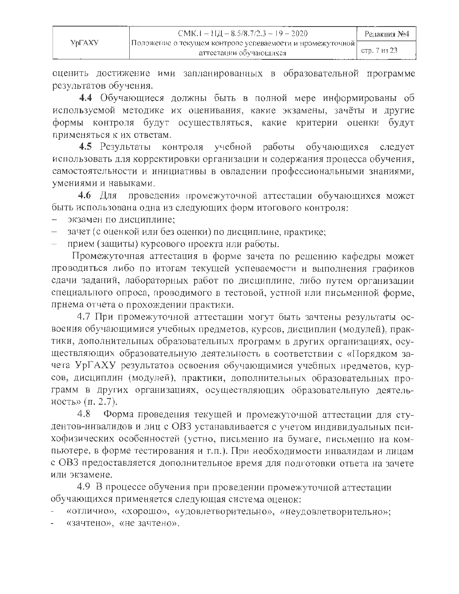|        | $CMK.1 - HH = 8.5/8.7/2.3 - 19 - 2020$                    | Редакция №4  |
|--------|-----------------------------------------------------------|--------------|
| УрГАХУ | Положение о текущем контроле успеваемости и промежуточной |              |
|        | аттестации обучающихся                                    | стр. 7 из 23 |

оценить достижение ими запланированных в образовательной программе результатов обучения.

4.4 Обучающиеся должны быть в полной мере информированы об используемой методике их оценивания, какие экзамены, зачёты и другие формы контроля будут осуществляться, какие критерии оценки будут применяться к их ответам.

4.5 Результаты контроля учебной работы обучающихся следует использовать для корректировки организации и содержания процесса обучения, самостоятельности и инициативы в овладении профессиональными знаниями, умениями и навыками.

проведения промежуточной аттестации обучающихся может 4.6 Для быть использована одна из следующих форм итогового контроля:

- экзамен по дисциплине:
- зачет (с оценкой или без оценки) по дисциплине, практике;
- прием (защиты) курсового проекта или работы.

Промежуточная аттестация в форме зачета по решению кафедры может проводиться либо по итогам текущей успеваемости и выполнения графиков сдачи заданий, лабораторных работ по дисциплине, либо путем организации специального опроса, проводимого в тестовой, устной или письменной форме, прнема отчета о прохождении практики.

4.7 При промежуточной аттестации могут быть зачтены результаты освоения обучающимися учебных предметов, курсов, дисциплин (модулей), практики, дополнительных образовательных программ в других организациях, осуществляющих образовательную деятельность в соответствии с «Порядком зачета УрГАХУ результатов освоения обучающимися учебных предметов, курсов, дисциплин (модулей), практики, дополнительных образовательных программ в других организациях, осуществляющих образовательную деятельность» (п. 2.7).

4.8 Форма проведения текущей и промежуточной аттестации для студентов-инвалидов и лиц с ОВЗ устанавливается с учетом индивидуальных психофизических особенностей (устно, письменно на бумаге, письменно на компьютере, в форме тестирования и т.п.). При необходимости инвалидам и лицам с ОВЗ предоставляется дополнительное время для подготовки ответа на зачете или экзамене.

4.9 В процессе обучения при проведении промежуточной аттестации обучающихся применяется следующая система оценок:

«отлично», «хорошо», «удовлетворительно», «неудовлетворительно»;

«зачтено», «не зачтено».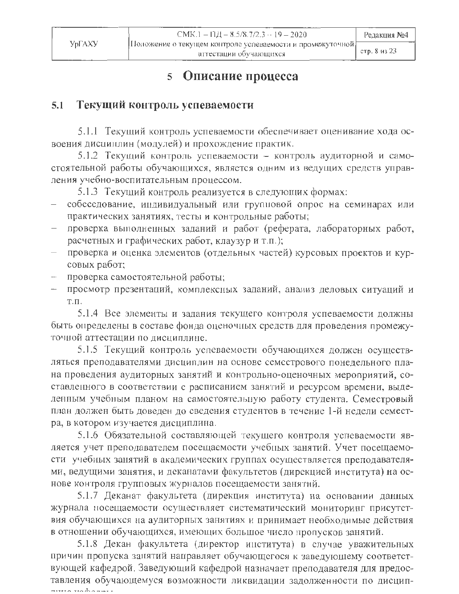#### Описание процесса 5

#### Текущий контроль успеваемости  $5.1$

5.1.1 Текущий контроль успеваемости обеспечивает оценивание хода освоения дисциплин (модулей) и прохождение практик.

5.1.2 Текущий контроль успеваемости - контроль аудиторной и самостоятельной работы обучающихся, является одним из ведущих средств управления учебно-воспитательным процессом.

5.1.3 Текущий контроль реализуется в следующих формах:

- собеседование, индивидуальный или групновой опрос на семинарах или практических занятиях, тесты и контрольные работы;
- проверка выполненных заданий и работ (реферата, лабораторных работ, расчетных и графических работ, клаузур и т.п.);
- проверка и оценка элементов (отдельных частей) курсовых проектов и курсовых работ;
- проверка самостоятельной работы;
- просмотр презентаций, комплексных заданий, анализ деловых ситуаций и  $T.\Pi.$

5.1.4 Все элементы и задания текущего контроля успеваемости должны быть определены в составе фонда оценочных средств для проведения промежуточной аттестации по дисциплине.

5.1.5 Текущий контроль успеваемости обучающихся должен осуществляться преподавателями дисциплин на основе семестрового понедельного плана проведения аудиторных занятий и контрольно-оценочных мероприятий, составленного в соответствии с расписанием занятий и ресурсом времени, выделенным учебным планом на самостоятельную работу студента. Семестровый план должен быть доведен до сведения студентов в течение 1-й недели семестра, в котором изучается дисциплина.

5.1.6 Обязательной составляющей текущего контроля успеваемости является учет преподавателем посещаемости учебных занятий. Учет посещаемости учебных занятий в академических группах осуществляется преподавателями, ведущими занятия, и деканатами факультетов (дирекцией института) на основе контроля групповых журналов посещаемости занятий.

5.1.7 Деканат факультета (дирекция института) на основании данных журнала посещаемости осуществляет систематический мониторинг присутствия обучающихся на аудиторных занятиях и принимает необходимые действия в отношении обучающихся, имеющих большое число пропусков занятий.

5.1.8 Декан факультета (директор института) в случае уважительных причин пропуска занятий направляет обучающегося к заведующему соответствующей кафедрой. Заведующий кафедрой назначает преподавателя для предоставления обучающемуся возможности ликвидации задолженности по дисципmura madanni i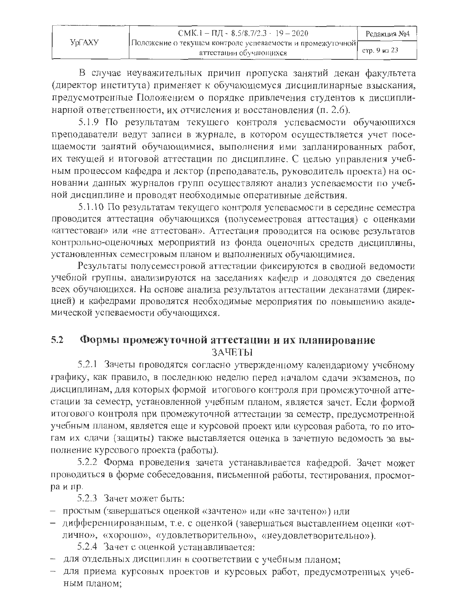|        | CMK.1 – $\Pi$ $\overline{A}$ – 8.5/8.7/2.3 – 19 – 2020    | Редакция №4  |
|--------|-----------------------------------------------------------|--------------|
| УрГАХУ | Положение о текущем контроле успеваемости и промежуточной |              |
|        | аттестации обучающихся                                    | стр. 9 из 23 |

В случае неуважительных причин пропуска занятий декан факультета (директор института) применяет к обучающемуся дисциплинарные взыскания, предусмотренные Положением о порядке привлечения студентов к дисциплинарной ответственности, их отчисления и восстановления (п. 2.6).

5.1.9 По результатам текущего контроля успеваемости обучающихся преподаватели ведут записи в журнале, в котором осуществляется учет посещаемости занятий обучающимися, выполнения ими запланированных работ, их текущей и итоговой аттестации по дисциплине. С целью управления учебным процессом кафедра и лектор (преподаватель, руководитель проекта) на основании данных журналов групп осуществляют анализ успеваемости по учебной дисциплине и проводят необходимые оперативные действия.

5.1.10 По результатам текущего контроля успеваемости в середине семестра проводится аттестация обучающихся (полусеместровая аттестация) с оценками «аттестован» или «не аттестован». Аттестация проводится на основе результатов контрольно-оценочных мероприятий из фонда оценочных средств дисциплины, установленных семестровым планом и выполненных обучающимися.

Результаты полусеместровой аттестации фиксируются в сводной ведомости учебной группы, анализируются на заседаниях кафедр и доводятся до сведения всех обучающихся. На основе анализа результатов аттестации деканатами (дирекцней) и кафедрами проводятся необходимые мероприятия по повышению академической успеваемости обучающихся.

#### $5.2$ Формы промежуточной аттестации и их планирование ЗАЧЕТЫ

5.2.1 Зачеты проводятся согласно утвержденному календарному учебному графику, как правило, в последнюю неделю перед началом сдачи экзаменов, по дисциплинам, для которых формой итогового контроля при промежуточной аттестации за семестр, установленной учебным планом, является зачет. Если формой итогового контроля при промежуточной аттестации за семестр, предусмотренной учебным планом, является еще и курсовой проект или курсовая работа, то по итогам их сдачи (защиты) также выставляется оценка в зачетную ведомость за выполнение курсового проекта (работы).

5.2.2 Форма проведения зачета устанавливается кафедрой. Зачет может проводиться в форме собеседования, письменной работы, тестирования, просмотра и пр.

5.2.3 Зачет может быть:

- простым (завершаться оценкой «зачтено» или «не зачтено») или
- дифференцированным, т.е. с оценкой (завершаться выставлением оценки «отлично», «хорошо», «удовлетворительно», «неудовлетворительно»).

5.2.4 Зачет с оценкой устанавливается:

- для отдельных дисциплин в соответствии с учебным планом;
- для приема курсовых проектов и курсовых работ, предусмотренных учебным планом: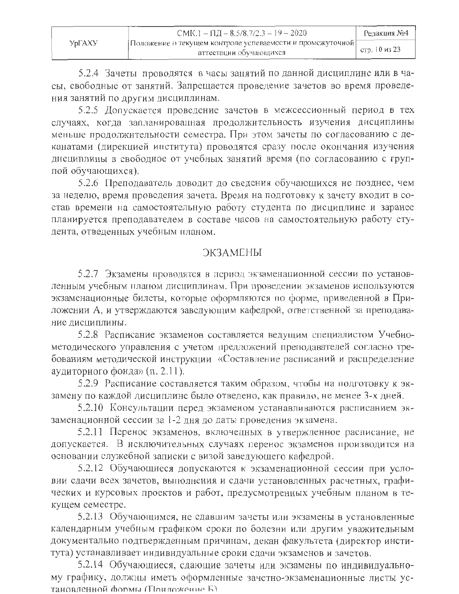| УрГАХУ | CMK.1 - $\Pi$ II - 8.5/8.7/2.3 - 19 - 2020                                           | Редакция №4   |
|--------|--------------------------------------------------------------------------------------|---------------|
|        | Положение о текущем контроле успеваемости и промежуточной <br>аттестации обучающихся | стр. 10 из 23 |

5.2.4 Зачеты проводятся в часы занятий по данной дисциплине или в часы, свободные от занятий. Запрещается проведение зачетов во время проведения занятий по другим дисциплинам.

5.2.5 Допускается проведение зачетов в межсессионный период в тех случаях, когда запланированная продолжительность изучения дисциплины меньше продолжительности семестра. При этом зачеты по согласованию с деканатами (дирекцией института) проводятся сразу после окончания изучения дисциплины в свободное от учебных занятий время (по согласованию с группой обучающихся).

5.2.6 Преподаватель доводит до сведения обучающихся не позднее, чем за неделю, время проведения зачета. Время на подготовку к зачету входит в состав времени на самостоятельную работу студента по дисциплине и заранее планируется преподавателем в составе часов на самостоятельную работу студента, отведенных учебным планом.

### **ЭКЗАМЕНЫ**

5.2.7 Экзамены проводятся в период экзаменационной сессии по установленным учебным планом дисциплинам. При проведении экзаменов используются экзаменационные билеты, которые оформляются по форме, приведенной в Приложении А, и утверждаются заведующим кафедрой, ответственной за преподавание лисциплины.

5.2.8 Расписание экзаменов составляется ведущим специалистом Учебнометодического управления с учетом предложений преподавателей согласно требованиям методической инструкции «Составление расписаний и распределение аудиторного фонда» (п. 2.11).

5.2.9 Расписание составляется таким образом, чтобы на подготовку к экзамену по каждой дисциплине было отведено, как правило, не менее 3-х дней.

5.2.10 Консультации перед экзаменом устанавливаются расписанием экзаменационной сессии за 1-2 дня до даты проведения экзамена.

5.2.11 Перенос экзаменов, включенных в утвержденное расписание, не допускается. В исключительных случаях перенос экзаменов производится на основании служебной записки с визой заведующего кафедрой.

5.2.12 Обучающиеся допускаются к экзаменационной сессии при условии сдачи всех зачетов, выполнения и сдачи установленных расчетных, графических и курсовых проектов и работ, предусмотренных учебным планом в текущем семестре.

5.2.13 Обучающимся, не сдавшим зачеты или экзамены в установленные календарным учебным графиком сроки по болезни или другим уважительным документально подтвержденным причинам, декан факультета (директор института) устанавливает индивидуальные сроки сдачи экзаменов и зачетов.

5.2.14 Обучающиеся, сдающие зачеты или экзамены по индивидуальному графику, должны иметь оформленные зачетно-экзаменационные листы установленной формы (Припожение Б)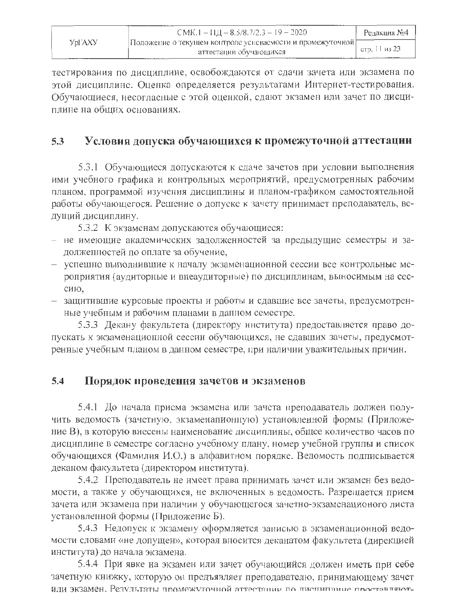|         | $CMK.1 - 11L - 8.5/8.7/2.3 - 19 - 2020$                     | Редакция №4   |
|---------|-------------------------------------------------------------|---------------|
| Vpl`AXV | Положение о текущем контроле усневаемости и промежуточной [ |               |
|         | аттестации обучающихся                                      | етр. 11 из 23 |

тестирования по дисциплине, освобождаются от сдачи зачета или экзамена по этой дисциплине. Оценка определяется результатами Интернет-тестирования. Обучающиеся, несогласные с этой оценкой, сдают экзамен или зачет по дисциплине на общих основаниях.

#### Условия допуска обучающихся к промежуточной аттестации  $5.3$

5.3.1 Обучающиеся допускаются к сдаче зачетов при условии выполнения ими учебного графика и контрольных мероприятий, предусмотренных рабочим планом, программой изучения дисциплины и планом-графиком самостоятельной работы обучающегося. Решение о допуске к зачету принимает преподаватель, ведущий дисциплину.

5.3.2 К экзаменам допускаются обучающиеся:

- не имеющие академических задолженностей за предыдущие семестры и задолженностей по оплате за обучение,
- успешно выполнившие к началу экзаменационной сессии все контрольные мероприятия (аудиторные и внеаудиторные) по дисциплинам, выносимым на сессию.
- защитившие курсовые проекты и работы и сдавшие все зачеты, предусмотренные учебным и рабочим планами в данном семестре.

5.3.3 Декану факультета (директору института) предоставляется право допускать к экзаменационной сессии обучающихся, не сдавших зачеты, предусмотренные учебным планом в данном семестре, при наличии уважительных причин.

#### $5.4$ Порядок проведения зачетов и экзаменов

5.4.1 До начала приема экзамена или зачета преподаватель должен получить ведомость (зачетную, экзаменапионную) установленной формы (Приложение В), в которую внесены наименование дисциплины, общее количество часов по дисциплине в семестре согласно учебному плану, номер учебной группы и список обучающихся (Фамилия И.О.) в алфавитном порядке. Ведомость подписывается деканом факультета (директором института).

5.4.2 Преподаватель не имеет права принимать зачет или экзамен без ведомости, а также у обучающихся, не включенных в ведомость. Разрещается прием зачета или экзамена при наличии у обучающегося зачетно-экзаменационого листа установленной формы (Приложение Б).

5.4.3 Недопуск к экзамену оформляется занисью в экзаменационной ведомости словами «не допущен», которая вносится деканатом факультета (дирекцией института) до начала экзамена.

5.4.4 При явке на экзамен или зачет обучающийся должен иметь при себе зачетную книжку, которую он предъявляет преподавателю, принимающему зачет ИЛИ ЭКЗАМЕН. Результаты промежуточной аттестации по писнипшине проставляют-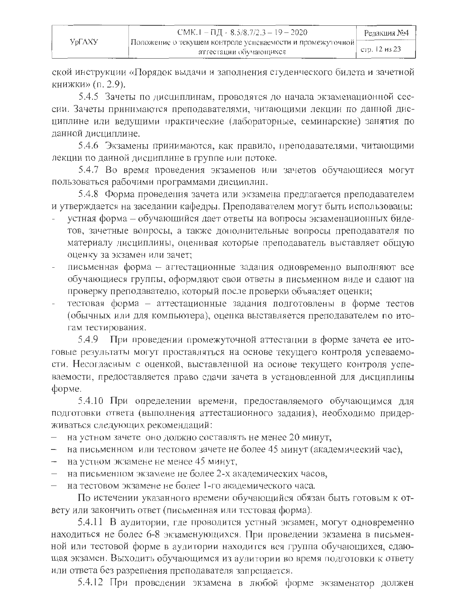|        | CMK.1 – $\Pi \Pi$ - 8.5/8.7/2.3 – 19 – 2020                 | Редакшия №4   |
|--------|-------------------------------------------------------------|---------------|
| УрГАХУ | Положение о текущем контроле успеваемости и промежуточной [ |               |
|        | аттестации обучающихся                                      | стр. 12 из 23 |

ской инструкции «Порядок выдачи и заполнения студенческого билета и зачетной книжки» (п. 2.9).

5.4.5 Зачеты по дисциплинам, проводятся до начала экзаменационной сессии. Зачеты принимаются преподавателями, читающими лекции по данной дисциплине или ведущими практические (лабораторные, семинарские) занятия по ланной лиспиплине.

5.4.6 Экзамены принимаются, как правило, преподавателями, читающими лекции по данной дисциплине в группе или потоке.

5.4.7 Во время проведения экзаменов или зачетов обучающиеся могут пользоваться рабочими программами дисциплин.

5.4.8 Форма проведения зачета или экзамена предлагается преподавателем и утверждается на заседании кафедры. Преподавателем могут быть использованы:

- устная форма обучающийся дает ответы на вопросы экзаменационных билетов, зачетные вопросы, а также дополнительные вопросы преподавателя по материалу дисциплины, оценивая которые преподаватель выставляет общую оценку за экзамен или зачет:
- письменная форма аттестационные задания одновременно выполняют все обучающиеся группы, оформляют свои ответы в письменном виде и сдают на проверку преподавателю, который после проверки объявляет оценки;
- тестовая форма аттестационные задания подготовлены в форме тестов (обычных или для компьютера), оценка выставляется преподавателем по итогам тестирования.

При проведении промежуточной аттестации в форме зачета ее ито-5.4.9 говые результаты могут проставляться на основе текущего контроля успеваемости. Несогласным с оценкой, выставленной на основе текущего контроля успеваемости, предоставляется право сдачи зачета в установленной для дисциплины форме.

5.4.10 При определении времени, предоставляемого обучающимся для подготовки ответа (выполнения аттестационного задания), необходимо придерживаться следующих рекомендаций:

- на устном зачете оно должно составлять не менее 20 минут,
- на письменном или тестовом зачете не более 45 минут (академический час),
- на устном экзамене не менее 45 минут,
- на письменном экзамене не более 2-х акалемических часов.
- на тестовом экзамене не более 1-го академического часа.

По истечении указанного времени обучающийся обязан быть готовым к ответу или закончить ответ (письменная или тестовая форма).

5.4.11 В аудитории, где проводится устный экзамен, могут одновременно находиться не более 6-8 экзаменующихся. При проведении экзамена в письменной или тестовой форме в аудитории находится вся группа обучающихся, сдающая экзамен. Выходить обучающимся из аудитории во время подготовки к ответу или ответа без разрепіения преподавателя запрещается.

5.4.12 При проведении экзамена в любой форме экзаменатор должен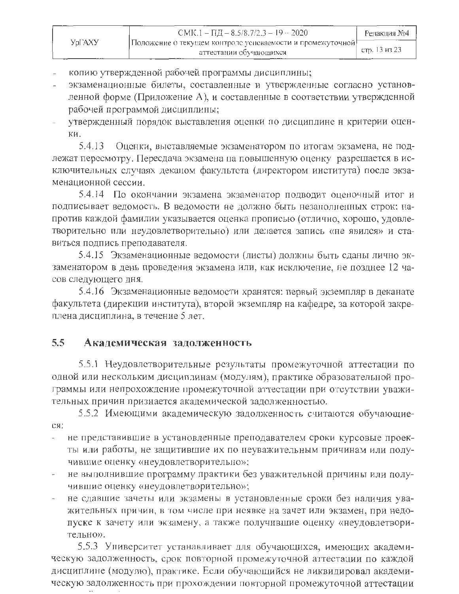- копию утвержденной рабочей программы дисциплины;
- экзаменационные билеты, составленные и утвержденные согласно установленной форме (Приложение А), и составленные в соответствии утвержденной рабочей программой дисциплины;
- утвержденный порядок выставления оценки по дисциплине н критерии оценки.

5.4.13 Оценки, выставляемые экзаменатором по итогам экзамена, не подлежат пересмотру. Пересдача экзамена на повышенную оценку разрешается в исключительных случаях деканом факультста (директором института) после экзаменационной сессии.

5.4.14 По окончании экзамена экзаменатор подводит оценочный итог и подписывает ведомость. В ведомости не должно быть незанолненных строк: напротив каждой фамилии указывается оценка прописью (отлично, хорошо, удовлетворительно или неудовлетворительно) или делается запись «не явился» и ставиться подпись преподавателя.

5.4.15 Экзаменационные ведомости (листы) должны быть сданы лично экзаменатором в день проведения экзамена или, как исключение, не позднее 12 часов следующего дня.

5.4.16 Экзаменационные ведомости хранятся: первый экземпляр в деканате факультета (дирекции института), второй экземпляр на кафедре, за которой закреплена дисциплина, в течение 5 лет.

#### $5.5$ Академическая задолженность

5.5.1 Неудовлетворительные результаты промежуточной аттестации по одной или нескольким дисциплинам (модулям), практике образовательной программы или непрохождение промежуточной аттестации при отсутствии уважительных причин признается академической задолженностью.

5.5.2 Имеющими академическую задолженность считаются обучающиеcя:

- не представившие в установленные преподавателем сроки курсовые проекты или работы, не защитившие их по неуважительным причинам или получившие оценку «неудовлетворительно»;
- не выполнившие программу практики без уважительной причины или получившие оценку «неудовлетворительно»;
- не сдавшие зачеты или экзамены в установленные сроки без наличия уважительных причин, в том числе при неявке на зачет или экзамен, при недопуске к зачету или экзамену, а также получившие оценку «неудовлетворительно».

5.5.3 Университет устанавливает для обучающихся, имеющих академическую задолженность, срок повторной промежуточной аттестации по каждой дисциплине (модулю), практике. Если обучающийся не ликвидировал академическую задолженность при прохождении повторной промежуточной аттестации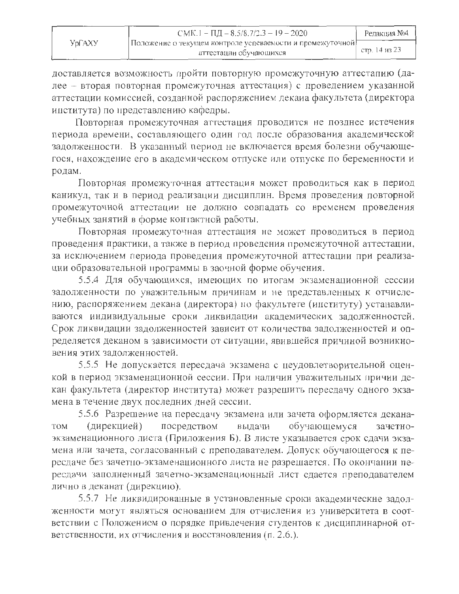|        | CMK.1 – $\Pi \underline{I} = 8.5/8.7/2.3 - 19 - 2020$                               | Редакция №4   |
|--------|-------------------------------------------------------------------------------------|---------------|
| УрГАХУ | Положение о текущем контроле успеваемости и промежуточной<br>аттестации обучающихся | етр. 14 из 23 |

доставляется возможность пройти повторную промежуточную аттестапию (далее - вторая повторная промежуточная аттестация) с проведением указанной аттестации комиссией, созданной распоряжением декаиа факультета (директора института) по представлению кафедры.

Повторная промежуточная аттестация проводится не позднее истечения периода времени, составляющего один год после образования академической задолженности. В указанный период не включается время болезни обучающегося, нахождение его в академическом отпуске или отпуске по беременности и родам.

Повторная промежуточная аттестация может проводиться как в период каникул, так и в период реализации дисциплин. Время проведения повторной промежуточной аттестации не должно совпадать со временем проведения учебных занятий в форме контактной работы.

Повторная промежуточная аттестация не может проводиться в период проведения практики, а также в период проведения промежуточной аттестации, за исключением периода проведения промежуточной аттестации при реализации образовательной программы в заочной форме обучения.

5.5.4 Для обучающихся, имеющих по итогам экзаменационной сессии задолженности по уважительным причинам и не представленных к отчислению, распоряжением декана (директора) по факультете (институту) устанавливаются индивидуальные сроки ликвидации академических задолженностей. Срок ликвидации задолженностей зависит от количества задолженностей и определяется деканом в зависимости от ситуации, явившейся причиной возникновения этих задолженностей.

5.5.5 Не допускается пересдача экзамена с неудовлетворительной оценкой в период экзаменационной сессии. При наличии уважительных причии декан факультета (директор института) может разрешить пересдачу одного экзамена в течение двух последних дней сессии.

5.5.6 Разрешение на пересдачу экзамена или зачета оформляется декана-(дирекцией) посредством выдачи обучающемуся зачетно-**TOM** экзаменационного листа (Приложения Б). В листе указывается срок сдачи экзамена или зачета, согласованный с преподавателем. Допуск обучающегося к пересдаче без зачетно-экзаменационного листа не разрешается. По окончании пересдачи заполненный зачетно-экзаменационный лист сдается преподавателем лично в деканат (дирекцию).

5.5.7 Не ликвидированные в установленные сроки академическне задолженности могут являться основанием для отчисления из университета в соответствии с Положением о порядке привлечения студентов к дисциплинарной ответственности, их отчисления и восстановления (п. 2.6.).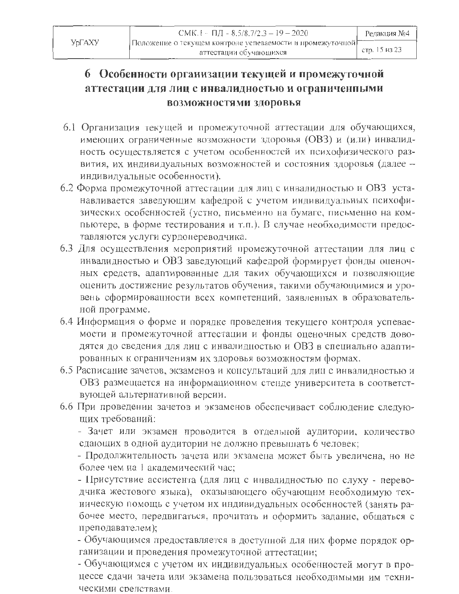# 6 Особенности организации текущей и промежуточной аттестации для лиц с инвалидностью и ограниченными ВОЗМОЖНОСТЯМИ ЗДОРОВЬЯ

- 6.1 Организация текущей и промежуточной аттестации для обучающихся, имеющих ограниченные возможности здоровья (ОВЗ) и (или) инвалидность осуществляется с учетом особенностей их психофизического развития, их индивидуальных возможностей и состояния здоровья (далее индивидуальные особенности).
- 6.2 Форма промежуточной аттестации для лиц с инвалидностью и ОВЗ устанавливается заведующим кафедрой с учетом индивидуальных психофизических особенностей (устно, письменно на бумаге, письменно на компьютере, в форме тестирования и т.п.). В случае необходимости предоставляются услуги сурдонереводчика.
- 6.3 Для осуществления мероприятий промежуточной аттестации для лиц с инвалидностью и ОВЗ заведующий кафедрой формирует фонды оценочных средств, адаптированные для таких обучающихся и позволяющие оценить достижение результатов обучения, такими обучающимися и уровень сформированности всех компетенций, заявленных в образовательной программе.
- 6.4 Информация о форме и порядке проведения текущего контроля успеваемости и промежуточной аттестации и фонды оценочных средств доводятся до сведения для лиц с инвалидностью и ОВЗ в специально адаптированных к ограничениям их здоровья возможностям формах.
- 6.5 Расписание зачетов, экзаменов и консультаций для лиц с инвалидностью и ОВЗ размещается на информационном стенде университета в соответствующей альтернативной версии.
- 6.6 При проведении зачетов и экзаменов обеспечивает соблюдение следующих требований:

- Зачет или экзамен проводится в отдельной аудитории, количество сдающих в одной аудитории не должно превышать 6 человек;

- Продолжительность зачета или экзамена может быть увеличена, но не более чем на 1 академический час:

- Присутствие ассистента (для лиц с инвалидностью по слуху - переводчика жестового языка), оказывающего обучающим необходимую техиическую помощь с учетом их индивидуальных особенностей (занять рабочее место, передвигаться, прочитать и оформить задание, общаться с преподавателем);

- Обучающимся предоставляется в доступной для них форме порядок организации и проведения промежуточной аттестации;

- Обучающимся с учетом их индивидуальных особенностей могут в процессе сдачи зачета или экзамена пользоваться необходимыми им техническими срелствами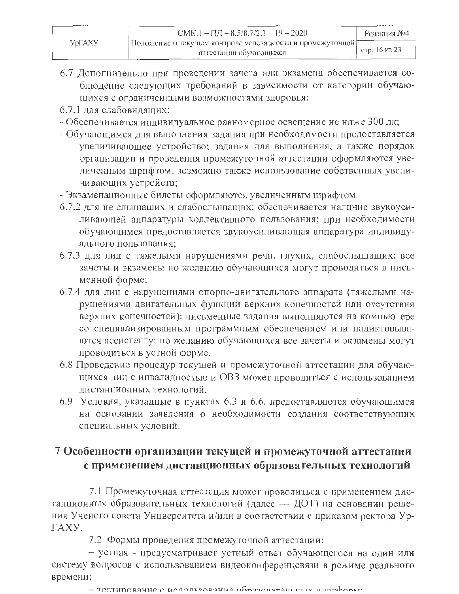- 6.7 Дополнительно при проведении зачета или экзамена обеспечивается соблюдение следующих требований в зависимости от категории обучающихся с ограниченными возможностями здоровья:
- 6.7.1 для слабовидящих:
- Обеспечивается индивидуальное равномерное освещение не ниже 300 лк;
- Обучающимся для выполнения задания при необходимости предоставляется увеличивающее устройство; задания для выполнения, а также порядок организации и проведення промежуточной аттестации оформляются увеличенным шрифтом, возможно также использование собственных увеличивающих устройств;
- Экзаменационные билеты оформляются увеличенным шрифтом.
- 6.7.2 для не слышащих и слабослышащих: обеспечивается наличие звукоусиливающей аппаратуры коллективного пользования; при необходимости обучающимся предоставляется звукоусиливающая аппаратура индивидуального пользования;
- 6.7.3 для лиц с тяжелыми нарушениями речи, глухих, слабослышащих: все зачеты и экзамены по желанию обучающихся могут проводиться в письменной форме;
- 6.7.4 для лиц с нарушениями опорно-двигательного аппарата (тяжелыми нарушениями двигательных функций верхних конечностей или отсутствия верхних конечностей): письменные задания выполняются на компьютере со специализированным программным обеспечением или надиктовываются ассистенту; по желанию обучающихся все зачеты и экзамены могут проводиться в устной форме.
- 6.8 Проведение процедур текущей и промежуточной аттестации для обучающихся лиц с инвалидностью и ОВЗ может проводиться с использованием дистанционных технологий.
- 6.9 Условия, указанные в пунктах 6.3 и 6.6. предоставляются обучающимся на основании заявления о необходимости создания соответствующих специальных условий.

# 7 Особенности организации текущей и промежуточной аттестации с применением дистанционных образовательных технологий

7.1 Промежуточная аттестация может проводиться с применением дистанционных образовательных технологий (далее - ДОТ) на основании решения Ученого совета Университета и/или в соответствии с приказом ректора Ур-ГАХУ.

7.2 Формы проведения промежуточной аттестации:

- устная - предусматривает устный ответ обучающегося на один или систему вопросов с использованием видеоконференцсвязи в режиме реального времени;

 $-$  Тестирование с использование образователь ным протеборы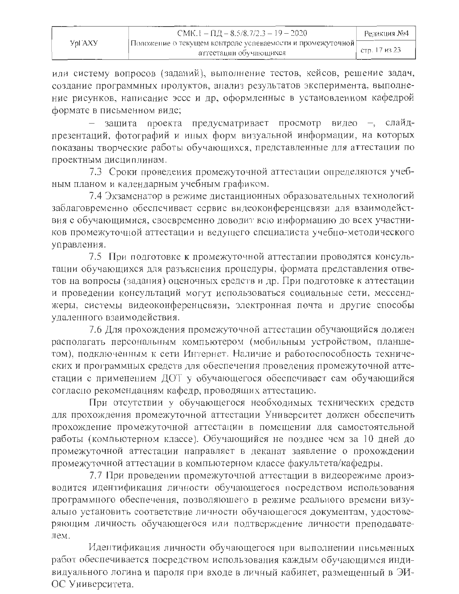|         | CMK.1 – $\Pi$ $\Lambda$ – 8.5/8.7/2.3 – 19 – 2020                                     | Редакция №4   |
|---------|---------------------------------------------------------------------------------------|---------------|
| Yol AXY | Положение о текущем контроле успеваемости и промежуточной [<br>аттестации обучающихся | стр. 17 из 23 |

или систему вопросов (заданий), выполнение тестов, кейсов, решение задач, создание программных продуктов, апализ результатов эксперимента, выполнение рисунков, написание эссе и др, оформленные в установленном кафедрой формате в письменном виде;

защита проекта предусматривает просмотр видео -, слайдпрезентаций, фотографий и иных форм визуальной информации, на которых показаны творческие работы обучающихся, представленные для аттестации по проектным дисциплинам.

7.3 Сроки проведения промежуточной аттестации определяются учебным планом и календарным учебным графиком.

7.4 Экзаменатор в режиме дистанционных образовательных технологий заблаговременно обеспечивает сервис видеоконференцсвязи для взаимодействия с обучающимися, своевременно доводит всю информацию до всех участников промежуточной аттестации и ведущего специалиста учебно-методического управления.

7.5 При подготовке к промежуточной аттестапии проводятся консультации обучающихся для разъяснения процедуры, формата представления ответов на вопросы (задания) оценочных средств и др. При подготовке к аттестации и проведении консультаций могут использоваться социальные сети, мессенджеры, системы видеоконференцсвязи, электронная почта и другие способы удаленного взаимодействия.

7.6 Для прохождения промежуточной аттестации обучающийся должен располагать персональным компьютером (мобильным устройством, планшетом), подключенным к сети Интернет. Наличие и работоспособность технических и программных средств для обеспечения проведения промежуточной аттестации с применением ДОТ у обучающегося обеспечивает сам обучающийся согласно рекомендациям кафедр, проводящих аттестацию.

При отсутствии у обучающегося необходимых технических средств для прохождения промежуточной аттестации Университет должен обеспечить прохождение промежуточной аттестации в помещении для самостоятельной работы (компьютерном классе). Обучающийся не позднее чем за 10 дней до промежуточной аттестации направляет в деканат заявление о прохождении промежуточной аттестации в компьютерном классе факультета/кафедры.

7.7 При проведении промежуточной аттестации в видеорежиме производится идентификация личности обучающегося посредством использования программного обеспечения, позволяющего в режиме реального времени визуально установить соответствие личности обучающегося документам, удостоверяющим личность обучающегося или подтверждение личности преподавателем.

Идентификация личности обучающегося при выполнении письменных работ обеспечивается посредством использования каждым обучающимся индивидуального логина и пароля при входе в личный кабинет, размещенный в ЭИ-ОС Университета.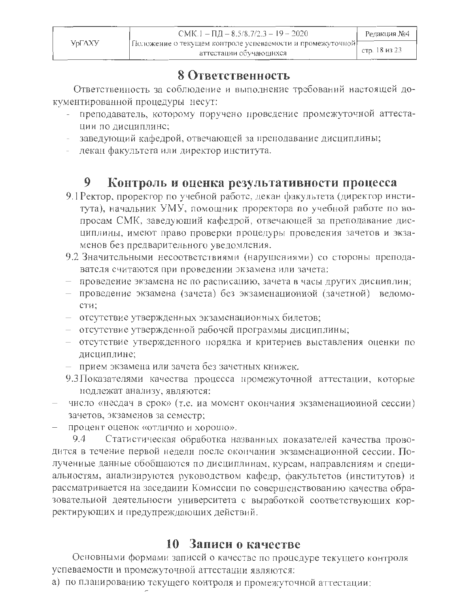# 8 Ответственность

Ответственность за соблюдение и выполнение требований настоящей документированной процедуры несут:

- преподаватель, которому поручено проведение промежуточной аттестации по дисциплине;
- заведующий кафедрой, отвечающей за преподавание дисциплины;
- декан факультста или директор института.

#### 9 Контроль и оценка результативности процесса

- 9.1 Ректор, проректор по учебной работе, декан факультета (директор института), начальник УМУ, помощник проректора по учебной работе по вопросам СМК, заведующий кафедрой, отвечающей за преподавание дисциплины, имеют право проверки процедуры проведения зачетов и экзаменов без предварительного уведомления.
- 9.2 Значительными несоответствиями (нарушениями) со стороны преподавателя считаются при проведении экзамена или зачета:
- проведение экзамена не по расписанию, зачета в часы других дисциплин;
- проведение экзамена (зачета) без экзаменационной (зачетной) ведомости:
- отсутствие утвержденных экзаменационных билетов;
- отсутствие утвержденной рабочей программы дисциплины;
- отсутствие утвержденного порядка и критериев выставления оценки по дисциплине;
- прием экзамена или зачета без зачетных книжек.
- 9.3 Показателями качества процесса промежуточной аттестации, которые нодлежат анализу, являются:
- число «несдач в срок» (т.е. иа момент окончания экзаменационной сессии) зачетов, экзаменов за семестр;
- процент оценок «отлично и хорошо».

Статистическая обработка названных показателей качества прово-9.4 дится в течение первой недели после окончании экзаменационной сессии. Полученные данные обобщаются по дисциплинам, курсам, направлениям и специальностям, анализируются руководством кафедр, факультетов (институтов) и рассматривается на заседаиии Комиссии по совершенствованию качества образовательиой деятельности университета с выработкой соответствующих корректирующих и предупреждающих действий.

# 10 Записи о качестве

Основными формами записей о качестве по процедуре текущего контроля успеваемости и промежуточной аттестации являются:

а) по планированию текущего контроля и промежуточной аттестации: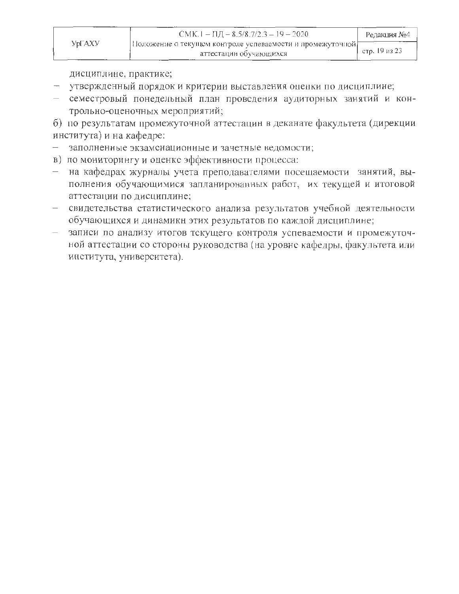|        | $CMK.1 - I1J = 8.5/8.7/2.3 - 19 - 2020$                                             | Редакция №4   |
|--------|-------------------------------------------------------------------------------------|---------------|
| УрГАХУ | Положение о текущем контроле успеваемости и промежуточлой<br>аттестации обучающихся | стр. 19 из 23 |

дисциплине, практике;

- утвержденный порядок и критерии выставления оценки по дисциплине;
- семестровый понедельный план проведения аудиторных занятий и контрольно-оценочных мероприятий;

б) по результатам промежуточной аттестацин в деканате факультета (дирекции института) и на кафедре:

- заполненные экзаменационные и зачетные ведомости;
- в) по мониторингу и оценке эффективности процесса:
- на кафедрах журналы учета преподавателями посещаемости занятий, выполнения обучающимися запланированных работ, их текущей и итоговой аттестации по дисциплине;
- свидетельства статистического анализа результатов учебной деятельности обучающихся и динамикн этих результатов по каждой дисциплине;
- записи по анализу итогов текущего контроля успеваемости и промежуточной аттестации со стороны руководства (на уровне кафедры, факультета или института, университета).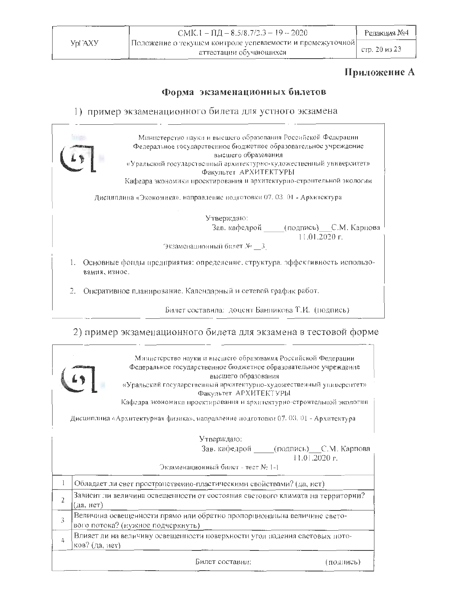стр. 20 из 23

### Приложение А

### Форма экзаменационных билетов

### 1) пример экзаменационного билета для устного экзамена



2) пример экзаменационного билета для экзамена в тестовой форме

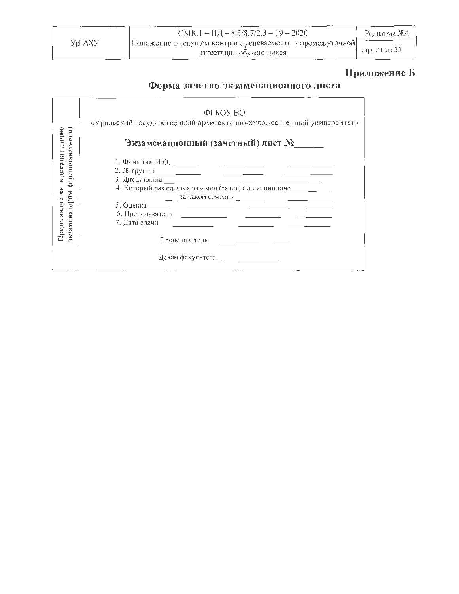|        | CMK.1 - $1JI - 8.5/8.7/2.3 - 19 - 2020$                                             | Редакция №4   |
|--------|-------------------------------------------------------------------------------------|---------------|
| УрГАХУ | Положение о текущем контроле успеваемости и промежуточной<br>аттестации обучающихся | стр. 21 из 23 |

# Приложение Б

# Форма зачетно-экзаменационного листа

|                                 | ФГБОУ ВО                                                                                                                                                                                                                                                                                                                                                                                               |
|---------------------------------|--------------------------------------------------------------------------------------------------------------------------------------------------------------------------------------------------------------------------------------------------------------------------------------------------------------------------------------------------------------------------------------------------------|
|                                 | «Уральский государственный архитектурно-художественный университет»                                                                                                                                                                                                                                                                                                                                    |
| в деканат лично<br>телеи<br>ã   | Экзаменационный (зачетный) лист №                                                                                                                                                                                                                                                                                                                                                                      |
| препода                         |                                                                                                                                                                                                                                                                                                                                                                                                        |
|                                 |                                                                                                                                                                                                                                                                                                                                                                                                        |
|                                 |                                                                                                                                                                                                                                                                                                                                                                                                        |
|                                 | 4. Который раз сдается экзамен (зачет) по дисциплине по по-                                                                                                                                                                                                                                                                                                                                            |
|                                 |                                                                                                                                                                                                                                                                                                                                                                                                        |
|                                 |                                                                                                                                                                                                                                                                                                                                                                                                        |
|                                 |                                                                                                                                                                                                                                                                                                                                                                                                        |
|                                 | 7. Дата сдачи<br>the control of the control of the control of the control of the control of the control of                                                                                                                                                                                                                                                                                             |
| Представляется<br>экзаменатором | Преподаватель $\frac{1}{\sqrt{1-\frac{1}{2}}\sqrt{1-\frac{1}{2}}\sqrt{1-\frac{1}{2}}\sqrt{1-\frac{1}{2}}\sqrt{1-\frac{1}{2}}\sqrt{1-\frac{1}{2}}\sqrt{1-\frac{1}{2}}\sqrt{1-\frac{1}{2}}\sqrt{1-\frac{1}{2}}\sqrt{1-\frac{1}{2}}\sqrt{1-\frac{1}{2}}\sqrt{1-\frac{1}{2}}\sqrt{1-\frac{1}{2}}\sqrt{1-\frac{1}{2}}\sqrt{1-\frac{1}{2}}\sqrt{1-\frac{1}{2}}\sqrt{1-\frac{1}{2}}\sqrt{1-\frac{1}{2}}\sqrt$ |
|                                 | Декан факультета                                                                                                                                                                                                                                                                                                                                                                                       |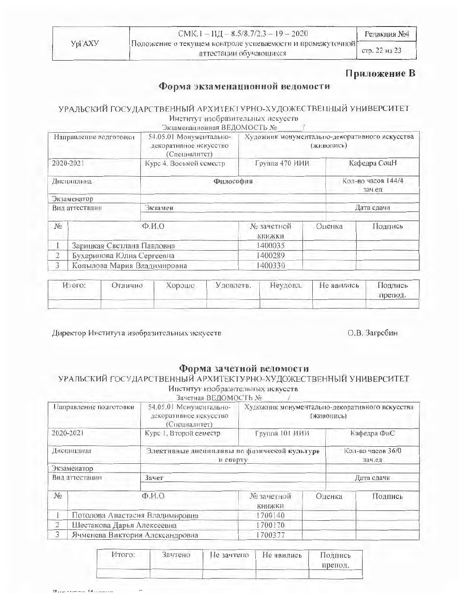|         | CMK.1 - $\Pi \underline{H} - 8.5/8$ , 7/2.3 - 19 - 2020                             | Редакция №4   |
|---------|-------------------------------------------------------------------------------------|---------------|
| YDI AXV | Положение о текущем контроле успеваемости и промежуточной<br>аттестации обучающихся | crp. 22 µ3 23 |

### Приложение В

### Форма экзаменационной ведомости

### УРАЛЬСКИЙ ГОСУДАРСТВЕННЫЙ АРХИТЕКТУРНО-ХУДОЖЕСТВЕННЫЙ УНИВЕРСИТЕТ Институт изобразительных искусств

Экзаменационная ВЕДОМОСТЬ №

| Направление подготовки |                              | 54.05.01 Монументально-<br>декоративное искусство<br>(Специалитет) | Художник монументально-декоративного искусства<br>(живопись) |  |              |                              |  |
|------------------------|------------------------------|--------------------------------------------------------------------|--------------------------------------------------------------|--|--------------|------------------------------|--|
|                        | 2020-2021                    | Курс 4, Восьмой семестр                                            | Группа 470 ИИИ                                               |  | Кафедра СоцН |                              |  |
|                        | Дисциплина                   |                                                                    | Философия                                                    |  |              | Кол-во часов 144/4<br>зач.ед |  |
|                        | Экзаменатор                  |                                                                    |                                                              |  |              |                              |  |
|                        | Вид аттестации               | Экзамен                                                            |                                                              |  | Дата сдачи   |                              |  |
| No                     | $\Phi$ <sub>M</sub> $\Omega$ |                                                                    | № зачетной<br>книжки                                         |  | Оценка       | Подпись                      |  |
|                        | Зарицкая Светлана Павловна   |                                                                    | 1400035                                                      |  |              |                              |  |
| $\overline{2}$         | Бухаринова Юлия Сергеевна    |                                                                    | 1400289                                                      |  |              |                              |  |
| $\overline{3}$         | Копылова Мария Владимировна  | 1400330                                                            |                                                              |  |              |                              |  |

| Итого: | <b>Отлично</b> | Хорошо | Удовлетв. | Неудовл. | Не явились | Подпись<br>препод. |
|--------|----------------|--------|-----------|----------|------------|--------------------|
|        |                |        |           |          |            |                    |

Директор Института изобразительных искусств

### О.В. Загребин

### Форма зачетной ведомости

# УРАЛЬСКИЙ ГОСУДАРСТВЕННЫЙ АРХИТЕКТУРНО-ХУДОЖЕСТВЕННЫЙ УНИВЕРСИТЕТ Институт изобразительных искусств<br>Зачетная ВЕДОМОСТЬ №

| Направление подготовки |                                 | 54.05.01 Монументально-<br>декоративное искусство<br>(Специалитет) |                                                          |        | Художник монументально-декоративного искусства<br>(живопись) |                             |  |
|------------------------|---------------------------------|--------------------------------------------------------------------|----------------------------------------------------------|--------|--------------------------------------------------------------|-----------------------------|--|
| 2020-2021              |                                 | Курс 1. Второй семестр                                             | Группа 101 ИИИ                                           |        | Кафедра ФиС                                                  |                             |  |
| Дисциплина             |                                 |                                                                    | Элективные дисциплины по физической культуре<br>и спорту |        |                                                              | Кол-во часов 36/0<br>зач.ед |  |
| Экзаменатор            |                                 |                                                                    |                                                          |        |                                                              |                             |  |
|                        | Вид аттестации                  | Зачет                                                              |                                                          |        |                                                              | Дата сдачи                  |  |
| No                     | $\Phi$ <sub>M</sub> O           |                                                                    | № зачетной<br><b>КНИЖКИ</b>                              | Оценка |                                                              | Подпись                     |  |
|                        | Потолова Анастасия Владимировка |                                                                    | 1700140                                                  |        |                                                              |                             |  |
| 2                      | Шестакова Дарья Алексеевна      |                                                                    | 1700170                                                  |        |                                                              |                             |  |
| 3                      | Ячменева Виктория Александровна |                                                                    | 1700377                                                  |        |                                                              |                             |  |

| HTOro: | Зачтено | Не зачтено | Не явились | Подпись<br>препод. |
|--------|---------|------------|------------|--------------------|
|        |         |            |            |                    |